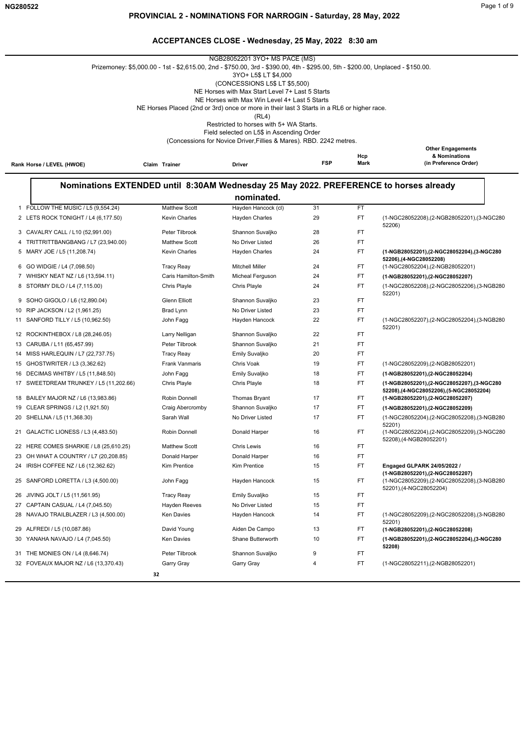|                                        |                                                                                                                                 | NGB28052201 3YO+ MS PACE (MS)                                                    |            |           |                                                                                       |
|----------------------------------------|---------------------------------------------------------------------------------------------------------------------------------|----------------------------------------------------------------------------------|------------|-----------|---------------------------------------------------------------------------------------|
|                                        | Prizemoney: \$5,000.00 - 1st - \$2,615.00, 2nd - \$750.00, 3rd - \$390.00, 4th - \$295.00, 5th - \$200.00, Unplaced - \$150.00. |                                                                                  |            |           |                                                                                       |
|                                        |                                                                                                                                 | 3YO+ L5\$ LT \$4,000                                                             |            |           |                                                                                       |
|                                        |                                                                                                                                 | (CONCESSIONS L5\$ LT \$5,500)<br>NE Horses with Max Start Level 7+ Last 5 Starts |            |           |                                                                                       |
|                                        |                                                                                                                                 | NE Horses with Max Win Level 4+ Last 5 Starts                                    |            |           |                                                                                       |
|                                        | NE Horses Placed (2nd or 3rd) once or more in their last 3 Starts in a RL6 or higher race.                                      |                                                                                  |            |           |                                                                                       |
|                                        |                                                                                                                                 | (RL4)                                                                            |            |           |                                                                                       |
|                                        |                                                                                                                                 | Restricted to horses with 5+ WA Starts.                                          |            |           |                                                                                       |
|                                        |                                                                                                                                 | Field selected on L5\$ in Ascending Order                                        |            |           |                                                                                       |
|                                        |                                                                                                                                 | (Concessions for Novice Driver, Fillies & Mares). RBD. 2242 metres.              |            |           | <b>Other Engagements</b>                                                              |
|                                        |                                                                                                                                 |                                                                                  |            | Hcp       | & Nominations                                                                         |
| Rank Horse / LEVEL (HWOE)              | Claim Trainer                                                                                                                   | Driver                                                                           | <b>FSP</b> | Mark      | (in Preference Order)                                                                 |
|                                        |                                                                                                                                 |                                                                                  |            |           |                                                                                       |
|                                        |                                                                                                                                 |                                                                                  |            |           | Nominations EXTENDED until 8:30AM Wednesday 25 May 2022. PREFERENCE to horses already |
| 1 FOLLOW THE MUSIC / L5 (9,554.24)     | <b>Matthew Scott</b>                                                                                                            | nominated.<br>Hayden Hancock (cl)                                                | 31         | FT.       |                                                                                       |
|                                        |                                                                                                                                 |                                                                                  |            | <b>FT</b> |                                                                                       |
| 2 LETS ROCK TONIGHT / L4 (6,177.50)    | <b>Kevin Charles</b>                                                                                                            | <b>Hayden Charles</b>                                                            | 29         |           | (1-NGC28052208),(2-NGB28052201),(3-NGC280<br>52206)                                   |
| 3 CAVALRY CALL / L10 (52,991.00)       | Peter Tilbrook                                                                                                                  | Shannon Suvaljko                                                                 | 28         | FT.       |                                                                                       |
| TRITTRITTBANGBANG / L7 (23,940.00)     | <b>Matthew Scott</b>                                                                                                            | No Driver Listed                                                                 | 26         | FT.       |                                                                                       |
| 5 MARY JOE / L5 (11,208.74)            | <b>Kevin Charles</b>                                                                                                            | Hayden Charles                                                                   | 24         | FT.       | (1-NGB28052201),(2-NGC28052204),(3-NGC280                                             |
| 6 GO WIDGIE / L4 (7,098.50)            | <b>Tracy Reay</b>                                                                                                               | <b>Mitchell Miller</b>                                                           | 24         | FT.       | 52206),(4-NGC28052208)<br>(1-NGC28052204), (2-NGB28052201)                            |
| 7 WHISKY NEAT NZ / L6 (13,594.11)      | Caris Hamilton-Smith                                                                                                            | Micheal Ferguson                                                                 | 24         | FT.       | (1-NGB28052201),(2-NGC28052207)                                                       |
| 8 STORMY DILO / L4 (7,115.00)          | Chris Playle                                                                                                                    | Chris Playle                                                                     | 24         | FT.       | (1-NGC28052208),(2-NGC28052206),(3-NGB280                                             |
|                                        |                                                                                                                                 |                                                                                  |            |           | 52201)                                                                                |
| 9 SOHO GIGOLO / L6 (12,890.04)         | <b>Glenn Elliott</b>                                                                                                            | Shannon Suvaljko                                                                 | 23         | FT.       |                                                                                       |
| 10 RIP JACKSON / L2 (1,961.25)         | Brad Lynn                                                                                                                       | No Driver Listed                                                                 | 23         | FT.       |                                                                                       |
| 11 SANFORD TILLY / L5 (10,962.50)      | John Fagg                                                                                                                       | Hayden Hancock                                                                   | 22         | FT.       | (1-NGC28052207),(2-NGC28052204),(3-NGB280<br>52201)                                   |
| 12 ROCKINTHEBOX / L8 (28,246.05)       | Larry Nelligan                                                                                                                  | Shannon Suvaljko                                                                 | 22         | FT.       |                                                                                       |
| 13 CARUBA / L11 (65,457.99)            | Peter Tilbrook                                                                                                                  | Shannon Suvaljko                                                                 | 21         | FT.       |                                                                                       |
| 14 MISS HARLEQUIN / L7 (22,737.75)     | <b>Tracy Reay</b>                                                                                                               | Emily Suvaljko                                                                   | 20         | FT.       |                                                                                       |
| 15 GHOSTWRITER / L3 (3,362.62)         | <b>Frank Vanmaris</b>                                                                                                           | Chris Voak                                                                       | 19         | FT.       | (1-NGC28052209), (2-NGB28052201)                                                      |
| 16 DECIMAS WHITBY / L5 (11,848.50)     | John Fagg                                                                                                                       | Emily Suvaljko                                                                   | 18         | FT.       | (1-NGB28052201),(2-NGC28052204)                                                       |
| 17 SWEETDREAM TRUNKEY / L5 (11,202.66) | Chris Playle                                                                                                                    | Chris Playle                                                                     | 18         | FT.       | (1-NGB28052201),(2-NGC28052207),(3-NGC280                                             |
|                                        |                                                                                                                                 |                                                                                  |            |           | 52208),(4-NGC28052206),(5-NGC28052204)                                                |
| 18 BAILEY MAJOR NZ / L6 (13,983.86)    | Robin Donnell                                                                                                                   | Thomas Bryant                                                                    | 17         | FT.       | (1-NGB28052201),(2-NGC28052207)                                                       |
| 19 CLEAR SPRINGS / L2 (1,921.50)       | Craig Abercromby                                                                                                                | Shannon Suvaljko                                                                 | 17         | FT.       | (1-NGB28052201),(2-NGC28052209)                                                       |
| 20 SHELLNA / L5 (11,368.30)            | Sarah Wall                                                                                                                      | No Driver Listed                                                                 | 17         | FT.       | (1-NGC28052204), (2-NGC28052208), (3-NGB280                                           |
| 21 GALACTIC LIONESS / L3 (4,483.50)    | Robin Donnell                                                                                                                   | Donald Harper                                                                    | 16         | FT.       | 52201)<br>(1-NGC28052204),(2-NGC28052209),(3-NGC280<br>52208), (4-NGB28052201)        |
| 22 HERE COMES SHARKIE / L8 (25,610.25) | <b>Matthew Scott</b>                                                                                                            | <b>Chris Lewis</b>                                                               | 16         | FT        |                                                                                       |
| 23 OH WHAT A COUNTRY / L7 (20,208.85)  | Donald Harper                                                                                                                   | Donald Harper                                                                    | 16         | FT.       |                                                                                       |
| 24 IRISH COFFEE NZ / L6 (12,362.62)    | Kim Prentice                                                                                                                    | Kim Prentice                                                                     | 15         | FT.       | Engaged GLPARK 24/05/2022 /                                                           |
| 25 SANFORD LORETTA / L3 (4,500.00)     | John Fagg                                                                                                                       | Hayden Hancock                                                                   | 15         | FT.       | (1-NGB28052201), (2-NGC28052207)<br>(1-NGC28052209),(2-NGC28052208),(3-NGB280         |
| 26 JIVING JOLT / L5 (11,561.95)        | <b>Tracy Reay</b>                                                                                                               | Emily Suvaljko                                                                   | 15         | FT.       | 52201), (4-NGC28052204)                                                               |
| 27 CAPTAIN CASUAL / L4 (7,045.50)      | <b>Hayden Reeves</b>                                                                                                            | No Driver Listed                                                                 | 15         | FT.       |                                                                                       |
| 28 NAVAJO TRAILBLAZER / L3 (4,500.00)  | Ken Davies                                                                                                                      | Hayden Hancock                                                                   | 14         | FT        | (1-NGC28052209),(2-NGC28052208),(3-NGB280                                             |
|                                        |                                                                                                                                 |                                                                                  |            |           | 52201)                                                                                |
| 29 ALFREDI / L5 (10,087.86)            | David Young                                                                                                                     | Aiden De Campo                                                                   | 13         | FT.       | (1-NGB28052201),(2-NGC28052208)                                                       |

30 YANAHA NAVAJO / L4 (7,045.50) Ken Davies Shane Butterworth FT **(1-NGB28052201),(2-NGC28052204),(3-NGC280**

10

**52208)**

31 THE MONIES ON / L4 (8,646.74) Peter Tilbrook Shannon Suvaljko 9 FT

32 FOVEAUX MAJOR NZ / L6 (13,370.43) Garry Gray Garry Gray 4 FT (1-NGC28052211),(2-NGB28052201)

 **32**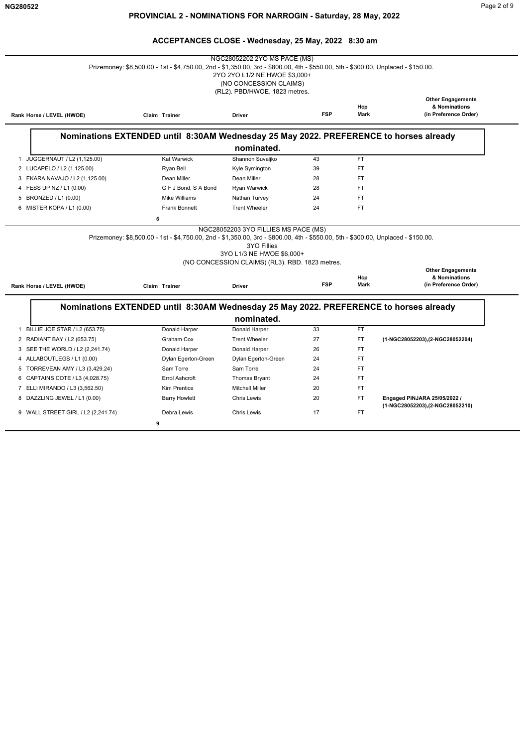|                                                                | Prizemoney: \$8,500.00 - 1st - \$4,750.00, 2nd - \$1,350.00, 3rd - \$800.00, 4th - \$550.00, 5th - \$300.00, Unplaced - \$150.00. | 2YO 2YO L1/2 NE HWOE \$3,000+<br>(NO CONCESSION CLAIMS)<br>(RL2). PBD/HWOE. 1823 metres.                                                   |            |                  |                                                                    |
|----------------------------------------------------------------|-----------------------------------------------------------------------------------------------------------------------------------|--------------------------------------------------------------------------------------------------------------------------------------------|------------|------------------|--------------------------------------------------------------------|
| Rank Horse / LEVEL (HWOE)                                      | Claim Trainer                                                                                                                     | <b>Driver</b>                                                                                                                              | <b>FSP</b> | Hcp<br>Mark      | <b>Other Engagements</b><br>& Nominations<br>(in Preference Order) |
|                                                                | Nominations EXTENDED until 8:30AM Wednesday 25 May 2022. PREFERENCE to horses already                                             |                                                                                                                                            |            |                  |                                                                    |
|                                                                |                                                                                                                                   | nominated.                                                                                                                                 |            |                  |                                                                    |
| 1 JUGGERNAUT / L2 (1,125.00)                                   | <b>Kat Warwick</b>                                                                                                                | Shannon Suvaljko                                                                                                                           | 43         | <b>FT</b>        |                                                                    |
| 2 LUCAPELO / L2 (1,125.00)                                     | Ryan Bell                                                                                                                         | Kyle Symington                                                                                                                             | 39         | <b>FT</b>        |                                                                    |
| 3 EKARA NAVAJO / L2 (1,125.00)                                 | Dean Miller                                                                                                                       | Dean Miller                                                                                                                                | 28         | <b>FT</b>        |                                                                    |
| 4 FESS UP NZ / L1 (0.00)                                       | G F J Bond, S A Bond                                                                                                              | Ryan Warwick                                                                                                                               | 28         | <b>FT</b>        |                                                                    |
| 5 BRONZED / L1 (0.00)                                          | Mike Williams                                                                                                                     | Nathan Turvey                                                                                                                              | 24         | <b>FT</b>        |                                                                    |
| 6 MISTER KOPA / L1 (0.00)                                      | <b>Frank Bonnett</b>                                                                                                              | <b>Trent Wheeler</b>                                                                                                                       | 24         | <b>FT</b>        |                                                                    |
|                                                                | Prizemoney: \$8,500.00 - 1st - \$4,750.00, 2nd - \$1,350.00, 3rd - \$800.00, 4th - \$550.00, 5th - \$300.00, Unplaced - \$150.00. | NGC28052203 3YO FILLIES MS PACE (MS)<br><b>3YO Fillies</b><br>3YO L1/3 NE HWOE \$6,000+<br>(NO CONCESSION CLAIMS) (RL3). RBD. 1823 metres. |            |                  | <b>Other Engagements</b>                                           |
|                                                                | Claim Trainer<br>Nominations EXTENDED until 8:30AM Wednesday 25 May 2022. PREFERENCE to horses already                            | <b>Driver</b>                                                                                                                              | <b>FSP</b> | Hcp<br>Mark      | & Nominations<br>(in Preference Order)                             |
|                                                                |                                                                                                                                   | nominated.                                                                                                                                 |            |                  |                                                                    |
| Rank Horse / LEVEL (HWOE)<br>1 BILLIE JOE STAR / L2 (653.75)   | Donald Harper                                                                                                                     | Donald Harper                                                                                                                              | 33         | <b>FT</b>        |                                                                    |
| 2 RADIANT BAY / L2 (653.75)                                    | Graham Cox                                                                                                                        | <b>Trent Wheeler</b>                                                                                                                       | 27         | FT.              | (1-NGC28052203), (2-NGC28052204)                                   |
| 3 SEE THE WORLD / L2 (2,241.74)                                | Donald Harper                                                                                                                     | Donald Harper                                                                                                                              | 26         | <b>FT</b>        |                                                                    |
| 4 ALLABOUTLEGS / L1 (0.00)                                     | Dylan Egerton-Green<br>Sam Torre                                                                                                  | Dylan Egerton-Green<br>Sam Torre                                                                                                           | 24<br>24   | FT<br>FT.        |                                                                    |
| 5 TORREVEAN AMY / L3 (3,429.24)                                | Errol Ashcroft                                                                                                                    |                                                                                                                                            |            |                  |                                                                    |
| 6 CAPTAINS COTE / L3 (4,028.75)                                | <b>Kim Prentice</b>                                                                                                               | <b>Thomas Bryant</b><br><b>Mitchell Miller</b>                                                                                             | 24<br>20   | <b>FT</b><br>FT. |                                                                    |
| 7 ELLI MIRANDO / L3 (3,562.50)<br>8 DAZZLING JEWEL / L1 (0.00) | <b>Barry Howlett</b>                                                                                                              | <b>Chris Lewis</b>                                                                                                                         | 20         | FT.              | Engaged PINJARA 25/05/2022 /                                       |
| 9 WALL STREET GIRL / L2 (2,241.74)                             | Debra Lewis                                                                                                                       | <b>Chris Lewis</b>                                                                                                                         | 17         | <b>FT</b>        | (1-NGC28052203),(2-NGC28052210)                                    |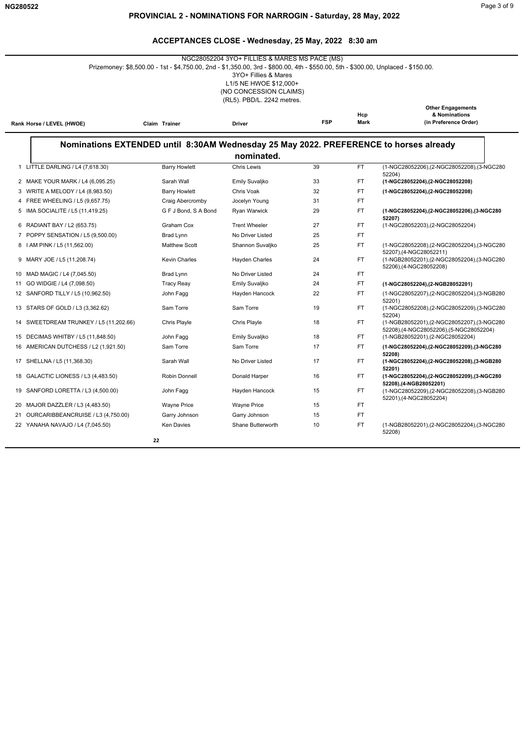|                                           | Prizemoney: \$8,500.00 - 1st - \$4,750.00, 2nd - \$1,350.00, 3rd - \$800.00, 4th - \$550.00, 5th - \$300.00, Unplaced - \$150.00. | NGC28052204 3YO+ FILLIES & MARES MS PACE (MS)<br>3YO+ Fillies & Mares<br>L1/5 NE HWOE \$12,000+<br>(NO CONCESSION CLAIMS)<br>(RL5). PBD/L. 2242 metres. |            |             |                                                                                               |
|-------------------------------------------|-----------------------------------------------------------------------------------------------------------------------------------|---------------------------------------------------------------------------------------------------------------------------------------------------------|------------|-------------|-----------------------------------------------------------------------------------------------|
| Rank Horse / LEVEL (HWOE)                 | Claim Trainer                                                                                                                     | Driver                                                                                                                                                  | <b>FSP</b> | Hcp<br>Mark | <b>Other Engagements</b><br>& Nominations<br>(in Preference Order)                            |
|                                           | Nominations EXTENDED until 8:30AM Wednesday 25 May 2022. PREFERENCE to horses already                                             |                                                                                                                                                         |            |             |                                                                                               |
|                                           |                                                                                                                                   | nominated.                                                                                                                                              |            |             |                                                                                               |
| 1 LITTLE DARLING / L4 (7,618.30)          | <b>Barry Howlett</b>                                                                                                              | Chris Lewis                                                                                                                                             | 39         | <b>FT</b>   | (1-NGC28052206),(2-NGC28052208),(3-NGC280                                                     |
| 2 MAKE YOUR MARK / L4 (6,095.25)          | Sarah Wall                                                                                                                        | Emily Suvaljko                                                                                                                                          | 33         | FT          | 52204)<br>(1-NGC28052204),(2-NGC28052208)                                                     |
| 3 WRITE A MELODY / L4 (8,983.50)          | <b>Barry Howlett</b>                                                                                                              | Chris Voak                                                                                                                                              | 32         | <b>FT</b>   | (1-NGC28052204), (2-NGC28052208)                                                              |
| 4 FREE WHEELING / L5 (9,657.75)           | Craig Abercromby                                                                                                                  | Jocelyn Young                                                                                                                                           | 31         | <b>FT</b>   |                                                                                               |
| 5 IMA SOCIALITE / L5 (11,419.25)          | G F J Bond, S A Bond                                                                                                              | Ryan Warwick                                                                                                                                            | 29         | <b>FT</b>   | (1-NGC28052204), (2-NGC28052206), (3-NGC280<br>52207)                                         |
| 6 RADIANT BAY / L2 (653.75)               | Graham Cox                                                                                                                        | <b>Trent Wheeler</b>                                                                                                                                    | 27         | FT.         | (1-NGC28052203), (2-NGC28052204)                                                              |
| 7 POPPY SENSATION / L5 (9,500.00)         | Brad Lynn                                                                                                                         | No Driver Listed                                                                                                                                        | 25         | FT          |                                                                                               |
| 8   AM PINK / L5 (11,562.00)              | <b>Matthew Scott</b>                                                                                                              | Shannon Suvaljko                                                                                                                                        | 25         | <b>FT</b>   | (1-NGC28052208),(2-NGC28052204),(3-NGC280                                                     |
| 9 MARY JOE / L5 (11,208.74)               | <b>Kevin Charles</b>                                                                                                              | Hayden Charles                                                                                                                                          | 24         | <b>FT</b>   | 52207),(4-NGC28052211)<br>(1-NGB28052201),(2-NGC28052204),(3-NGC280<br>52206),(4-NGC28052208) |
| 10 MAD MAGIC / L4 (7,045.50)              | Brad Lynn                                                                                                                         | No Driver Listed                                                                                                                                        | 24         | FT.         |                                                                                               |
| 11 GO WIDGIE / L4 (7,098.50)              | <b>Tracy Reay</b>                                                                                                                 | Emily Suvaljko                                                                                                                                          | 24         | <b>FT</b>   | (1-NGC28052204), (2-NGB28052201)                                                              |
| 12 SANFORD TILLY / L5 (10,962.50)         | John Fagg                                                                                                                         | Hayden Hancock                                                                                                                                          | 22         | <b>FT</b>   | (1-NGC28052207),(2-NGC28052204),(3-NGB280<br>52201)                                           |
| 13 STARS OF GOLD / L3 (3,362.62)          | Sam Torre                                                                                                                         | Sam Torre                                                                                                                                               | 19         | <b>FT</b>   | (1-NGC28052208),(2-NGC28052209),(3-NGC280<br>52204)                                           |
| SWEETDREAM TRUNKEY / L5 (11,202.66)<br>14 | Chris Playle                                                                                                                      | Chris Playle                                                                                                                                            | 18         | <b>FT</b>   | (1-NGB28052201),(2-NGC28052207),(3-NGC280<br>52208),(4-NGC28052206),(5-NGC28052204)           |
| 15 DECIMAS WHITBY / L5 (11,848.50)        | John Fagg                                                                                                                         | Emily Suvaljko                                                                                                                                          | 18         | <b>FT</b>   | (1-NGB28052201),(2-NGC28052204)                                                               |
| 16 AMERICAN DUTCHESS / L2 (1,921.50)      | Sam Torre                                                                                                                         | Sam Torre                                                                                                                                               | 17         | FT.         | (1-NGC28052204),(2-NGC28052209),(3-NGC280                                                     |
| 17 SHELLNA / L5 (11,368.30)               | Sarah Wall                                                                                                                        | No Driver Listed                                                                                                                                        | 17         | <b>FT</b>   | 52208)<br>(1-NGC28052204).(2-NGC28052208).(3-NGB280<br>52201)                                 |
| 18 GALACTIC LIONESS / L3 (4,483.50)       | Robin Donnell                                                                                                                     | Donald Harper                                                                                                                                           | 16         | <b>FT</b>   | (1-NGC28052204),(2-NGC28052209),(3-NGC280<br>52208),(4-NGB28052201)                           |
| 19 SANFORD LORETTA / L3 (4,500.00)        | John Fagg                                                                                                                         | Hayden Hancock                                                                                                                                          | 15         | <b>FT</b>   | (1-NGC28052209),(2-NGC28052208),(3-NGB280<br>52201),(4-NGC28052204)                           |
| 20 MAJOR DAZZLER / L3 (4,483.50)          | <b>Wayne Price</b>                                                                                                                | <b>Wayne Price</b>                                                                                                                                      | 15         | FT.         |                                                                                               |
| 21 OURCARIBBEANCRUISE / L3 (4,750.00)     | Garry Johnson                                                                                                                     | Garry Johnson                                                                                                                                           | 15         | <b>FT</b>   |                                                                                               |
| 22 YANAHA NAVAJO / L4 (7,045.50)          | <b>Ken Davies</b>                                                                                                                 | Shane Butterworth                                                                                                                                       | 10         | <b>FT</b>   | (1-NGB28052201),(2-NGC28052204),(3-NGC280<br>52208)                                           |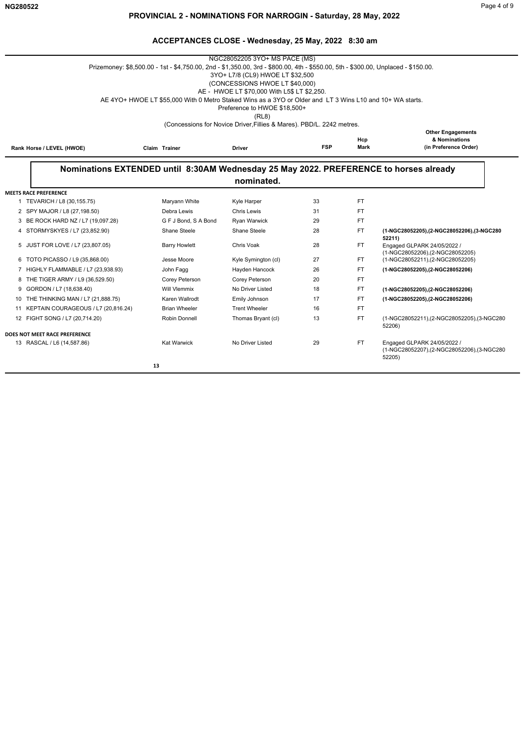—

|    |                                      | Prizemoney: \$8,500.00 - 1st - \$4,750.00, 2nd - \$1,350.00, 3rd - \$800.00, 4th - \$550.00, 5th - \$300.00, Unplaced - \$150.00. | NGC28052205 3YO+ MS PACE (MS)                                         |            |             |                                                                                    |  |  |  |  |
|----|--------------------------------------|-----------------------------------------------------------------------------------------------------------------------------------|-----------------------------------------------------------------------|------------|-------------|------------------------------------------------------------------------------------|--|--|--|--|
|    | 3YO+ L7/8 (CL9) HWOE LT \$32,500     |                                                                                                                                   |                                                                       |            |             |                                                                                    |  |  |  |  |
|    |                                      |                                                                                                                                   | (CONCESSIONS HWOE LT \$40,000)                                        |            |             |                                                                                    |  |  |  |  |
|    |                                      |                                                                                                                                   | AE - HWOE LT \$70,000 With L5\$ LT \$2.250.                           |            |             |                                                                                    |  |  |  |  |
|    |                                      | AE 4YO+ HWOE LT \$55,000 With 0 Metro Staked Wins as a 3YO or Older and LT 3 Wins L10 and 10+ WA starts.                          |                                                                       |            |             |                                                                                    |  |  |  |  |
|    |                                      |                                                                                                                                   | Preference to HWOE \$18,500+<br>(RL8)                                 |            |             |                                                                                    |  |  |  |  |
|    |                                      |                                                                                                                                   | (Concessions for Novice Driver, Fillies & Mares). PBD/L. 2242 metres. |            |             |                                                                                    |  |  |  |  |
|    |                                      |                                                                                                                                   |                                                                       |            |             | <b>Other Engagements</b>                                                           |  |  |  |  |
|    |                                      |                                                                                                                                   |                                                                       | <b>FSP</b> | Hcp<br>Mark | & Nominations<br>(in Preference Order)                                             |  |  |  |  |
|    | Rank Horse / LEVEL (HWOE)            | Claim Trainer                                                                                                                     | <b>Driver</b>                                                         |            |             |                                                                                    |  |  |  |  |
|    |                                      |                                                                                                                                   |                                                                       |            |             |                                                                                    |  |  |  |  |
|    |                                      | Nominations EXTENDED until 8:30AM Wednesday 25 May 2022. PREFERENCE to horses already                                             |                                                                       |            |             |                                                                                    |  |  |  |  |
|    |                                      |                                                                                                                                   | nominated.                                                            |            |             |                                                                                    |  |  |  |  |
|    | <b>MEETS RACE PREFERENCE</b>         |                                                                                                                                   |                                                                       |            |             |                                                                                    |  |  |  |  |
|    | 1 TEVARICH / L8 (30,155.75)          | Maryann White                                                                                                                     | <b>Kyle Harper</b>                                                    | 33         | FT          |                                                                                    |  |  |  |  |
|    | 2 SPY MAJOR / L8 (27,198.50)         | Debra Lewis                                                                                                                       | Chris Lewis                                                           | 31         | FT.         |                                                                                    |  |  |  |  |
|    | 3 BE ROCK HARD NZ / L7 (19,097.28)   | G F J Bond, S A Bond                                                                                                              | Ryan Warwick                                                          | 29         | FT.         |                                                                                    |  |  |  |  |
|    | 4 STORMYSKYES / L7 (23,852.90)       | Shane Steele                                                                                                                      | Shane Steele                                                          | 28         | FT.         | (1-NGC28052205), (2-NGC28052206), (3-NGC280<br>52211)                              |  |  |  |  |
|    | 5 JUST FOR LOVE / L7 (23,807.05)     | <b>Barry Howlett</b>                                                                                                              | Chris Voak                                                            | 28         | FT.         | Engaged GLPARK 24/05/2022 /<br>(1-NGC28052206), (2-NGC28052205)                    |  |  |  |  |
|    | 6 TOTO PICASSO / L9 (35,868.00)      | Jesse Moore                                                                                                                       | Kyle Symington (cl)                                                   | 27         | FT.         | (1-NGC28052211),(2-NGC28052205)                                                    |  |  |  |  |
|    | 7 HIGHLY FLAMMABLE / L7 (23,938.93)  | John Fagg                                                                                                                         | Hayden Hancock                                                        | 26         | FT.         | (1-NGC28052205),(2-NGC28052206)                                                    |  |  |  |  |
| 8  | THE TIGER ARMY / L9 (36,529.50)      | Corey Peterson                                                                                                                    | Corey Peterson                                                        | 20         | FT.         |                                                                                    |  |  |  |  |
| 9  | GORDON / L7 (18,638.40)              | <b>Will Vlemmix</b>                                                                                                               | No Driver Listed                                                      | 18         | FT          | (1-NGC28052205).(2-NGC28052206)                                                    |  |  |  |  |
|    | 10 THE THINKING MAN / L7 (21,888.75) | Karen Wallrodt                                                                                                                    | Emily Johnson                                                         | 17         | FT          | (1-NGC28052205).(2-NGC28052206)                                                    |  |  |  |  |
| 11 | KEPTAIN COURAGEOUS / L7 (20,816.24)  | <b>Brian Wheeler</b>                                                                                                              | <b>Trent Wheeler</b>                                                  | 16         | FT.         |                                                                                    |  |  |  |  |
|    | 12 FIGHT SONG / L7 (20,714.20)       | Robin Donnell                                                                                                                     | Thomas Bryant (cl)                                                    | 13         | FT.         | (1-NGC28052211),(2-NGC28052205),(3-NGC280<br>52206)                                |  |  |  |  |
|    | DOES NOT MEET RACE PREFERENCE        |                                                                                                                                   |                                                                       |            |             |                                                                                    |  |  |  |  |
|    | 13 RASCAL / L6 (14,587.86)           | <b>Kat Warwick</b>                                                                                                                | No Driver Listed                                                      | 29         | FT.         | Engaged GLPARK 24/05/2022 /<br>(1-NGC28052207),(2-NGC28052206),(3-NGC280<br>52205) |  |  |  |  |
|    |                                      | 13                                                                                                                                |                                                                       |            |             |                                                                                    |  |  |  |  |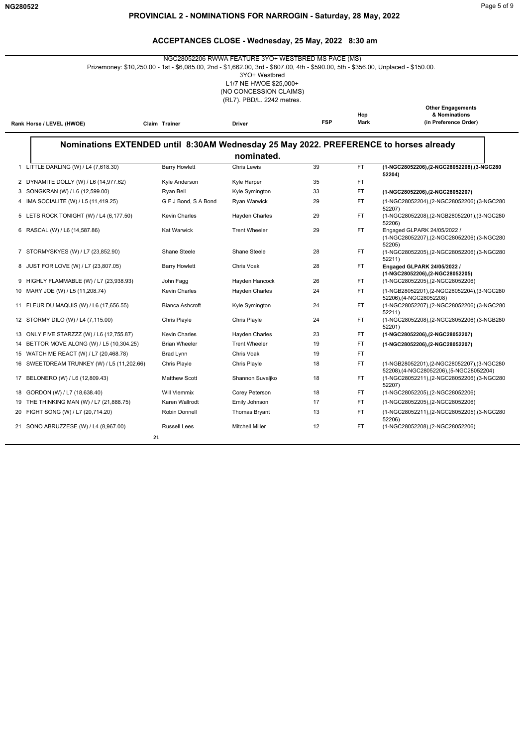# **PROVINCIAL 2 - NOMINATIONS FOR NARROGIN - Saturday, 28 May, 2022**

|                                             | Prizemoney: \$10,250.00 - 1st - \$6,085.00, 2nd - \$1,662.00, 3rd - \$807.00, 4th - \$590.00, 5th - \$356.00, Unplaced - \$150.00. | NGC28052206 RWWA FEATURE 3YO+ WESTBRED MS PACE (MS)<br>3YO+ Westbred<br>L1/7 NE HWOE \$25,000+<br>(NO CONCESSION CLAIMS)<br>(RL7). PBD/L. 2242 metres. |            |                    |                                                                                               |
|---------------------------------------------|------------------------------------------------------------------------------------------------------------------------------------|--------------------------------------------------------------------------------------------------------------------------------------------------------|------------|--------------------|-----------------------------------------------------------------------------------------------|
| Rank Horse / LEVEL (HWOE)                   | Claim Trainer                                                                                                                      | <b>Driver</b>                                                                                                                                          | <b>FSP</b> | Hcp<br><b>Mark</b> | <b>Other Engagements</b><br>& Nominations<br>(in Preference Order)                            |
|                                             | Nominations EXTENDED until 8:30AM Wednesday 25 May 2022. PREFERENCE to horses already                                              |                                                                                                                                                        |            |                    |                                                                                               |
|                                             |                                                                                                                                    | nominated.                                                                                                                                             |            |                    |                                                                                               |
| 1 LITTLE DARLING (W) / L4 (7,618.30)        | <b>Barry Howlett</b>                                                                                                               | <b>Chris Lewis</b>                                                                                                                                     | 39         | FT.                | (1-NGC28052206),(2-NGC28052208),(3-NGC280                                                     |
| 2 DYNAMITE DOLLY (W) / L6 (14,977.62)       | Kyle Anderson                                                                                                                      | Kyle Harper                                                                                                                                            | 35         | FT.                | 52204)                                                                                        |
| 3 SONGKRAN (W) / L6 (12,599.00)             | Ryan Bell                                                                                                                          | Kyle Symington                                                                                                                                         | 33         | FT.                | (1-NGC28052206),(2-NGC28052207)                                                               |
| 4 IMA SOCIALITE (W) / L5 (11,419.25)        | G F J Bond, S A Bond                                                                                                               | Ryan Warwick                                                                                                                                           | 29         | FT.                | (1-NGC28052204),(2-NGC28052206),(3-NGC280<br>52207)                                           |
| 5 LETS ROCK TONIGHT (W) / L4 (6,177.50)     | <b>Kevin Charles</b>                                                                                                               | <b>Hayden Charles</b>                                                                                                                                  | 29         | FT.                | (1-NGC28052208),(2-NGB28052201),(3-NGC280<br>52206)                                           |
| 6 RASCAL (W) / L6 (14,587.86)               | <b>Kat Warwick</b>                                                                                                                 | <b>Trent Wheeler</b>                                                                                                                                   | 29         | FT.                | Engaged GLPARK 24/05/2022 /<br>(1-NGC28052207),(2-NGC28052206),(3-NGC280<br>52205)            |
| 7 STORMYSKYES (W) / L7 (23,852.90)          | Shane Steele                                                                                                                       | Shane Steele                                                                                                                                           | 28         | FT.                | (1-NGC28052205),(2-NGC28052206),(3-NGC280<br>52211)                                           |
| 8 JUST FOR LOVE (W) / L7 (23,807.05)        | <b>Barry Howlett</b>                                                                                                               | Chris Voak                                                                                                                                             | 28         | FT.                | Engaged GLPARK 24/05/2022 /<br>(1-NGC28052206),(2-NGC28052205)                                |
| 9 HIGHLY FLAMMABLE (W) / L7 (23,938.93)     | John Fagg                                                                                                                          | Hayden Hancock                                                                                                                                         | 26         | FT.                | (1-NGC28052205),(2-NGC28052206)                                                               |
| 10 MARY JOE (W) / L5 (11,208.74)            | <b>Kevin Charles</b>                                                                                                               | Hayden Charles                                                                                                                                         | 24         | FT.                | (1-NGB28052201),(2-NGC28052204),(3-NGC280<br>52206), (4-NGC28052208)                          |
| 11 FLEUR DU MAQUIS (W) / L6 (17,656.55)     | <b>Bianca Ashcroft</b>                                                                                                             | Kyle Symington                                                                                                                                         | 24         | FT.                | (1-NGC28052207),(2-NGC28052206),(3-NGC280<br>52211)                                           |
| 12 STORMY DILO (W) / L4 (7,115.00)          | Chris Playle                                                                                                                       | Chris Playle                                                                                                                                           | 24         | FT.                | (1-NGC28052208),(2-NGC28052206),(3-NGB280<br>52201)                                           |
| 13 ONLY FIVE STARZZZ (W) / L6 (12,755.87)   | <b>Kevin Charles</b>                                                                                                               | <b>Hayden Charles</b>                                                                                                                                  | 23         | FT.                | (1-NGC28052206),(2-NGC28052207)                                                               |
| 14 BETTOR MOVE ALONG (W) / L5 (10,304.25)   | <b>Brian Wheeler</b>                                                                                                               | <b>Trent Wheeler</b>                                                                                                                                   | 19         | FT.                | (1-NGC28052206),(2-NGC28052207)                                                               |
| 15 WATCH ME REACT (W) / L7 (20,468.78)      | Brad Lynn                                                                                                                          | Chris Voak                                                                                                                                             | 19         | FT.                |                                                                                               |
| 16 SWEETDREAM TRUNKEY (W) / L5 (11,202.66)  | Chris Playle                                                                                                                       | Chris Playle                                                                                                                                           | 18         | FT.                | (1-NGB28052201),(2-NGC28052207),(3-NGC280                                                     |
| 17 BELONERO (W) / L6 (12,809.43)            | <b>Matthew Scott</b>                                                                                                               | Shannon Suvaljko                                                                                                                                       | 18         | FT.                | 52208),(4-NGC28052206),(5-NGC28052204)<br>(1-NGC28052211),(2-NGC28052206),(3-NGC280<br>52207) |
| 18 GORDON (W) / L7 (18,638.40)              | <b>Will Vlemmix</b>                                                                                                                | Corey Peterson                                                                                                                                         | 18         | FT.                | (1-NGC28052205), (2-NGC28052206)                                                              |
| 19<br>THE THINKING MAN (W) / L7 (21,888.75) | Karen Wallrodt                                                                                                                     | Emily Johnson                                                                                                                                          | 17         | FT.                | (1-NGC28052205),(2-NGC28052206)                                                               |
| 20 FIGHT SONG (W) / L7 (20,714.20)          | Robin Donnell                                                                                                                      | Thomas Bryant                                                                                                                                          | 13         | FT.                | (1-NGC28052211),(2-NGC28052205),(3-NGC280<br>52206)                                           |
| 21 SONO ABRUZZESE (W) / L4 (8,967.00)       | <b>Russell Lees</b><br>21                                                                                                          | <b>Mitchell Miller</b>                                                                                                                                 | 12         | FT.                | (1-NGC28052208), (2-NGC28052206)                                                              |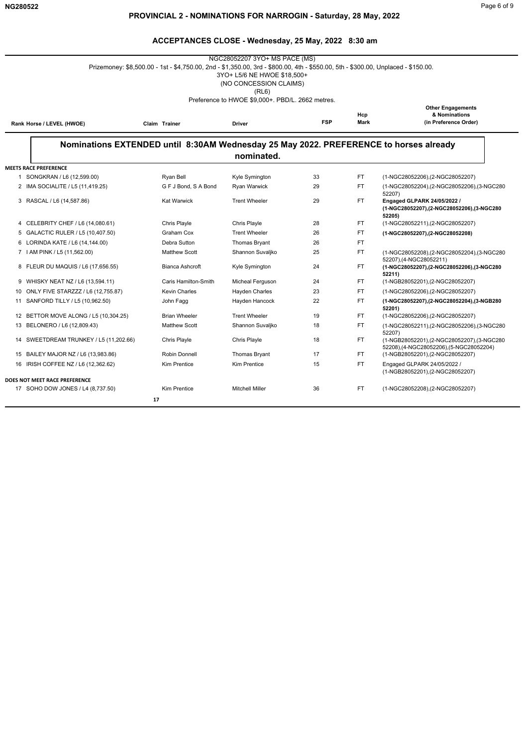|                                                                                                                                                                                                                    |                                                                                                                                   | NGC28052207 3YO+ MS PACE (MS)                                  |    |     |                                                                                       |  |  |  |  |  |
|--------------------------------------------------------------------------------------------------------------------------------------------------------------------------------------------------------------------|-----------------------------------------------------------------------------------------------------------------------------------|----------------------------------------------------------------|----|-----|---------------------------------------------------------------------------------------|--|--|--|--|--|
|                                                                                                                                                                                                                    | Prizemoney: \$8,500.00 - 1st - \$4,750.00, 2nd - \$1,350.00, 3rd - \$800.00, 4th - \$550.00, 5th - \$300.00, Unplaced - \$150.00. | 3YO+ L5/6 NE HWOE \$18,500+<br>(NO CONCESSION CLAIMS)<br>(RL6) |    |     |                                                                                       |  |  |  |  |  |
| Preference to HWOE \$9,000+. PBD/L. 2662 metres.<br><b>Other Engagements</b><br>& Nominations<br>Hcp<br><b>FSP</b><br>Mark<br>(in Preference Order)<br>Rank Horse / LEVEL (HWOE)<br>Claim Trainer<br><b>Driver</b> |                                                                                                                                   |                                                                |    |     |                                                                                       |  |  |  |  |  |
|                                                                                                                                                                                                                    |                                                                                                                                   | nominated.                                                     |    |     | Nominations EXTENDED until 8:30AM Wednesday 25 May 2022. PREFERENCE to horses already |  |  |  |  |  |
| <b>MEETS RACE PREFERENCE</b>                                                                                                                                                                                       |                                                                                                                                   |                                                                |    |     |                                                                                       |  |  |  |  |  |
| 1 SONGKRAN / L6 (12,599.00)                                                                                                                                                                                        | Ryan Bell                                                                                                                         | Kyle Symington                                                 | 33 | FT. | (1-NGC28052206), (2-NGC28052207)                                                      |  |  |  |  |  |
| 2 IMA SOCIALITE / L5 (11,419.25)                                                                                                                                                                                   | G F J Bond, S A Bond                                                                                                              | Ryan Warwick                                                   | 29 | FT. | (1-NGC28052204), (2-NGC28052206), (3-NGC280<br>52207)                                 |  |  |  |  |  |
| 3 RASCAL / L6 (14,587.86)                                                                                                                                                                                          | <b>Kat Warwick</b>                                                                                                                | <b>Trent Wheeler</b>                                           | 29 | FT. | Engaged GLPARK 24/05/2022 /<br>(1-NGC28052207),(2-NGC28052206),(3-NGC280<br>52205)    |  |  |  |  |  |
| 4 CELEBRITY CHEF / L6 (14,080.61)                                                                                                                                                                                  | Chris Playle                                                                                                                      | Chris Playle                                                   | 28 | FT. | (1-NGC28052211),(2-NGC28052207)                                                       |  |  |  |  |  |
| 5 GALACTIC RULER / L5 (10,407.50)                                                                                                                                                                                  | Graham Cox                                                                                                                        | <b>Trent Wheeler</b>                                           | 26 | FT. | (1-NGC28052207).(2-NGC28052208)                                                       |  |  |  |  |  |
| 6 LORINDA KATE / L6 (14,144.00)                                                                                                                                                                                    | Debra Sutton                                                                                                                      | Thomas Bryant                                                  | 26 | FT. |                                                                                       |  |  |  |  |  |
| 7   AM PINK / L5 (11,562.00)                                                                                                                                                                                       | <b>Matthew Scott</b>                                                                                                              | Shannon Suvaljko                                               | 25 | FT. | (1-NGC28052208),(2-NGC28052204),(3-NGC280<br>52207),(4-NGC28052211)                   |  |  |  |  |  |
| 8 FLEUR DU MAQUIS / L6 (17,656.55)                                                                                                                                                                                 | <b>Bianca Ashcroft</b>                                                                                                            | Kyle Symington                                                 | 24 | FT. | (1-NGC28052207),(2-NGC28052206),(3-NGC280<br>52211)                                   |  |  |  |  |  |
| 9 WHISKY NEAT NZ / L6 (13,594.11)                                                                                                                                                                                  | Caris Hamilton-Smith                                                                                                              | Micheal Ferguson                                               | 24 | FT. | (1-NGB28052201),(2-NGC28052207)                                                       |  |  |  |  |  |
| 10 ONLY FIVE STARZZZ / L6 (12,755.87)                                                                                                                                                                              | <b>Kevin Charles</b>                                                                                                              | Hayden Charles                                                 | 23 | FT. | (1-NGC28052206), (2-NGC28052207)                                                      |  |  |  |  |  |
| 11 SANFORD TILLY / L5 (10,962.50)                                                                                                                                                                                  | John Fagg                                                                                                                         | Hayden Hancock                                                 | 22 | FT. | (1-NGC28052207),(2-NGC28052204),(3-NGB280<br>52201)                                   |  |  |  |  |  |
| 12 BETTOR MOVE ALONG / L5 (10,304.25)                                                                                                                                                                              | <b>Brian Wheeler</b>                                                                                                              | <b>Trent Wheeler</b>                                           | 19 | FT. | (1-NGC28052206), (2-NGC28052207)                                                      |  |  |  |  |  |
| 13 BELONERO / L6 (12,809.43)                                                                                                                                                                                       | <b>Matthew Scott</b>                                                                                                              | Shannon Suvaljko                                               | 18 | FT. | (1-NGC28052211), (2-NGC28052206), (3-NGC280<br>52207)                                 |  |  |  |  |  |
| 14 SWEETDREAM TRUNKEY / L5 (11,202.66)                                                                                                                                                                             | Chris Playle                                                                                                                      | Chris Playle                                                   | 18 | FT. | (1-NGB28052201),(2-NGC28052207),(3-NGC280<br>52208),(4-NGC28052206),(5-NGC28052204)   |  |  |  |  |  |
| 15 BAILEY MAJOR NZ / L6 (13,983.86)                                                                                                                                                                                | Robin Donnell                                                                                                                     | Thomas Bryant                                                  | 17 | FT. | (1-NGB28052201), (2-NGC28052207)                                                      |  |  |  |  |  |
| 16 IRISH COFFEE NZ / L6 (12,362.62)                                                                                                                                                                                | <b>Kim Prentice</b>                                                                                                               | <b>Kim Prentice</b>                                            | 15 | FT. | Engaged GLPARK 24/05/2022 /<br>(1-NGB28052201),(2-NGC28052207)                        |  |  |  |  |  |
| DOES NOT MEET RACE PREFERENCE                                                                                                                                                                                      |                                                                                                                                   |                                                                |    |     |                                                                                       |  |  |  |  |  |
| 17 SOHO DOW JONES / L4 (8,737.50)                                                                                                                                                                                  | <b>Kim Prentice</b>                                                                                                               | <b>Mitchell Miller</b>                                         | 36 | FT. | (1-NGC28052208),(2-NGC28052207)                                                       |  |  |  |  |  |
|                                                                                                                                                                                                                    | 17                                                                                                                                |                                                                |    |     |                                                                                       |  |  |  |  |  |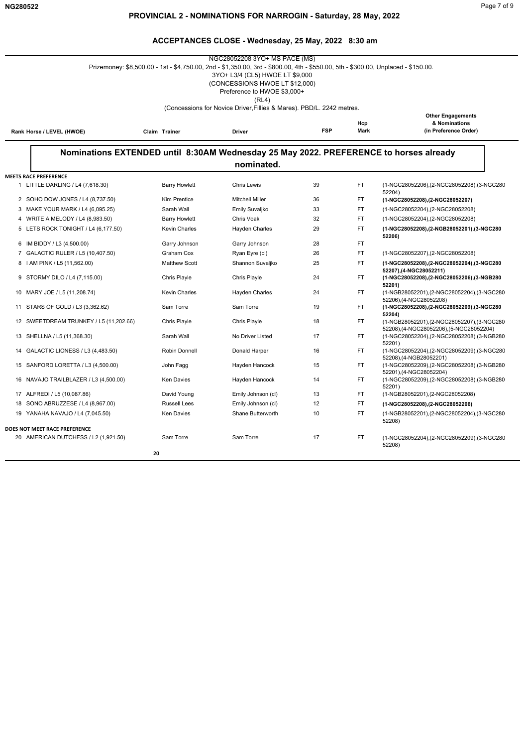|                                                                                                                                                                | Prizemoney: \$8,500.00 - 1st - \$4,750.00, 2nd - \$1,350.00, 3rd - \$800.00, 4th - \$550.00, 5th - \$300.00, Unplaced - \$150.00. | NGC28052208 3YO+ MS PACE (MS)<br>3YO+ L3/4 (CL5) HWOE LT \$9,000<br>(CONCESSIONS HWOE LT \$12,000)<br>Preference to HWOE \$3,000+<br>(RL4) |    |           |                                                                                     |  |  |
|----------------------------------------------------------------------------------------------------------------------------------------------------------------|-----------------------------------------------------------------------------------------------------------------------------------|--------------------------------------------------------------------------------------------------------------------------------------------|----|-----------|-------------------------------------------------------------------------------------|--|--|
|                                                                                                                                                                |                                                                                                                                   | (Concessions for Novice Driver, Fillies & Mares). PBD/L. 2242 metres.                                                                      |    |           |                                                                                     |  |  |
| <b>Other Engagements</b><br>& Nominations<br>Hcp<br><b>FSP</b><br>Mark<br>(in Preference Order)<br>Rank Horse / LEVEL (HWOE)<br>Claim Trainer<br><b>Driver</b> |                                                                                                                                   |                                                                                                                                            |    |           |                                                                                     |  |  |
|                                                                                                                                                                | Nominations EXTENDED until 8:30AM Wednesday 25 May 2022. PREFERENCE to horses already                                             | nominated.                                                                                                                                 |    |           |                                                                                     |  |  |
| <b>MEETS RACE PREFERENCE</b>                                                                                                                                   |                                                                                                                                   |                                                                                                                                            |    |           |                                                                                     |  |  |
| 1 LITTLE DARLING / L4 (7,618.30)                                                                                                                               | <b>Barry Howlett</b>                                                                                                              | <b>Chris Lewis</b>                                                                                                                         | 39 | FT.       | (1-NGC28052206),(2-NGC28052208),(3-NGC280<br>52204)                                 |  |  |
| 2 SOHO DOW JONES / L4 (8,737.50)                                                                                                                               | Kim Prentice                                                                                                                      | <b>Mitchell Miller</b>                                                                                                                     | 36 | FT        | (1-NGC28052208),(2-NGC28052207)                                                     |  |  |
| 3 MAKE YOUR MARK / L4 (6,095.25)                                                                                                                               | Sarah Wall                                                                                                                        | Emily Suvaljko                                                                                                                             | 33 | <b>FT</b> | (1-NGC28052204), (2-NGC28052208)                                                    |  |  |
| 4 WRITE A MELODY / L4 (8,983.50)                                                                                                                               | <b>Barry Howlett</b>                                                                                                              | Chris Voak                                                                                                                                 | 32 | <b>FT</b> | (1-NGC28052204), (2-NGC28052208)                                                    |  |  |
| 5 LETS ROCK TONIGHT / L4 (6,177.50)                                                                                                                            | Kevin Charles                                                                                                                     | Hayden Charles                                                                                                                             | 29 | <b>FT</b> | (1-NGC28052208),(2-NGB28052201),(3-NGC280<br>52206)                                 |  |  |
| 6 IM BIDDY / L3 (4,500.00)                                                                                                                                     | Garry Johnson                                                                                                                     | Garry Johnson                                                                                                                              | 28 | FT.       |                                                                                     |  |  |
| 7 GALACTIC RULER / L5 (10,407.50)                                                                                                                              | Graham Cox                                                                                                                        | Ryan Eyre (cl)                                                                                                                             | 26 | FT        | (1-NGC28052207), (2-NGC28052208)                                                    |  |  |
| 8   AM PINK / L5 (11,562.00)                                                                                                                                   | <b>Matthew Scott</b>                                                                                                              | Shannon Suvaljko                                                                                                                           | 25 | <b>FT</b> | (1-NGC28052208), (2-NGC28052204), (3-NGC280<br>52207),(4-NGC28052211)               |  |  |
| 9 STORMY DILO / L4 (7,115.00)                                                                                                                                  | Chris Playle                                                                                                                      | Chris Playle                                                                                                                               | 24 | FT.       | (1-NGC28052208).(2-NGC28052206).(3-NGB280<br>52201)                                 |  |  |
| 10 MARY JOE / L5 (11,208.74)                                                                                                                                   | <b>Kevin Charles</b>                                                                                                              | <b>Hayden Charles</b>                                                                                                                      | 24 | FT.       | (1-NGB28052201),(2-NGC28052204),(3-NGC280<br>52206),(4-NGC28052208)                 |  |  |
| 11 STARS OF GOLD / L3 (3,362.62)                                                                                                                               | Sam Torre                                                                                                                         | Sam Torre                                                                                                                                  | 19 | FT        | (1-NGC28052208),(2-NGC28052209),(3-NGC280<br>52204)                                 |  |  |
| 12 SWEETDREAM TRUNKEY / L5 (11,202.66)                                                                                                                         | Chris Playle                                                                                                                      | Chris Playle                                                                                                                               | 18 | FT        | (1-NGB28052201),(2-NGC28052207),(3-NGC280<br>52208),(4-NGC28052206),(5-NGC28052204) |  |  |
| 13 SHELLNA / L5 (11,368.30)                                                                                                                                    | Sarah Wall                                                                                                                        | No Driver Listed                                                                                                                           | 17 | <b>FT</b> | (1-NGC28052204),(2-NGC28052208),(3-NGB280<br>52201)                                 |  |  |
| 14 GALACTIC LIONESS / L3 (4,483.50)                                                                                                                            | Robin Donnell                                                                                                                     | Donald Harper                                                                                                                              | 16 | FT        | (1-NGC28052204),(2-NGC28052209),(3-NGC280<br>52208),(4-NGB28052201)                 |  |  |
| 15 SANFORD LORETTA / L3 (4,500.00)                                                                                                                             | John Fagg                                                                                                                         | Hayden Hancock                                                                                                                             | 15 | FT.       | (1-NGC28052209),(2-NGC28052208),(3-NGB280<br>52201),(4-NGC28052204)                 |  |  |
| 16 NAVAJO TRAILBLAZER / L3 (4,500.00)                                                                                                                          | <b>Ken Davies</b>                                                                                                                 | Hayden Hancock                                                                                                                             | 14 | FT        | (1-NGC28052209),(2-NGC28052208),(3-NGB280<br>52201)                                 |  |  |
| 17 ALFREDI / L5 (10,087.86)                                                                                                                                    | David Young                                                                                                                       | Emily Johnson (cl)                                                                                                                         | 13 | FT.       | (1-NGB28052201),(2-NGC28052208)                                                     |  |  |
| SONO ABRUZZESE / L4 (8,967.00)<br>18                                                                                                                           | <b>Russell Lees</b>                                                                                                               | Emily Johnson (cl)                                                                                                                         | 12 | FT        | (1-NGC28052208),(2-NGC28052206)                                                     |  |  |
| 19 YANAHA NAVAJO / L4 (7,045.50)                                                                                                                               | <b>Ken Davies</b>                                                                                                                 | Shane Butterworth                                                                                                                          | 10 | <b>FT</b> | (1-NGB28052201),(2-NGC28052204),(3-NGC280<br>52208)                                 |  |  |
| DOES NOT MEET RACE PREFERENCE                                                                                                                                  |                                                                                                                                   |                                                                                                                                            |    |           |                                                                                     |  |  |
| 20 AMERICAN DUTCHESS / L2 (1,921.50)                                                                                                                           | Sam Torre                                                                                                                         | Sam Torre                                                                                                                                  | 17 | <b>FT</b> | (1-NGC28052204), (2-NGC28052209), (3-NGC280<br>52208)                               |  |  |
|                                                                                                                                                                | 20                                                                                                                                |                                                                                                                                            |    |           |                                                                                     |  |  |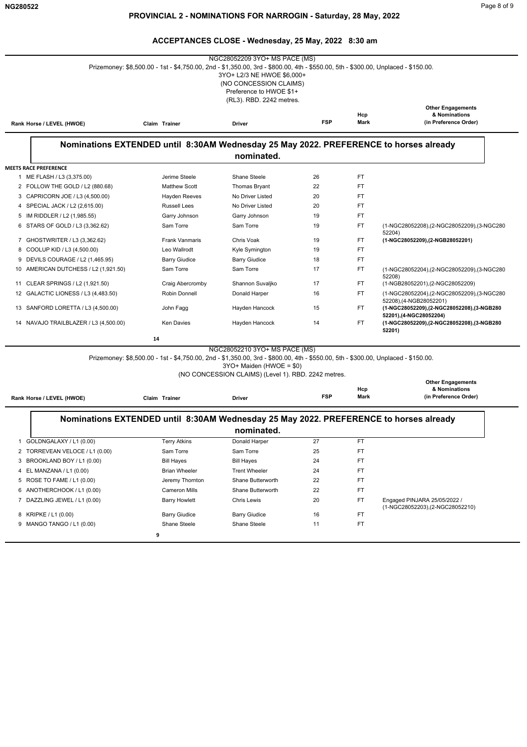**Rank Horse / LEVEL (HWOE)** 

#### **ACCEPTANCES CLOSE - Wednesday, 25 May, 2022 8:30 am**

|                   | NGC28052209 3YO+ MS PACE (MS)<br>Prizemoney: \$8,500.00 - 1st - \$4,750.00, 2nd - \$1,350.00, 3rd - \$800.00, 4th - \$550.00, 5th - \$300.00, Unplaced - \$150.00.<br>3YO+ L2/3 NE HWOE \$6,000+<br>(NO CONCESSION CLAIMS)<br>Preference to HWOE \$1+<br>(RL3). RBD. 2242 metres. |                                                                                       |                      |            |                    |                                                                     |  |  |  |
|-------------------|-----------------------------------------------------------------------------------------------------------------------------------------------------------------------------------------------------------------------------------------------------------------------------------|---------------------------------------------------------------------------------------|----------------------|------------|--------------------|---------------------------------------------------------------------|--|--|--|
|                   | Rank Horse / LEVEL (HWOE)                                                                                                                                                                                                                                                         | Claim Trainer                                                                         | <b>Driver</b>        | <b>FSP</b> | Hcp<br><b>Mark</b> | <b>Other Engagements</b><br>& Nominations<br>(in Preference Order)  |  |  |  |
|                   |                                                                                                                                                                                                                                                                                   | Nominations EXTENDED until 8:30AM Wednesday 25 May 2022. PREFERENCE to horses already |                      |            |                    |                                                                     |  |  |  |
|                   |                                                                                                                                                                                                                                                                                   |                                                                                       | nominated.           |            |                    |                                                                     |  |  |  |
|                   | <b>MEETS RACE PREFERENCE</b>                                                                                                                                                                                                                                                      |                                                                                       |                      |            |                    |                                                                     |  |  |  |
|                   | 1 ME FLASH / L3 (3,375.00)                                                                                                                                                                                                                                                        | Jerime Steele                                                                         | Shane Steele         | 26         | FT                 |                                                                     |  |  |  |
|                   | 2 FOLLOW THE GOLD / L2 (880.68)                                                                                                                                                                                                                                                   | <b>Matthew Scott</b>                                                                  | <b>Thomas Bryant</b> | 22         | <b>FT</b>          |                                                                     |  |  |  |
| 3                 | CAPRICORN JOE / L3 (4,500.00)                                                                                                                                                                                                                                                     | <b>Hayden Reeves</b>                                                                  | No Driver Listed     | 20         | FT                 |                                                                     |  |  |  |
| 4                 | SPECIAL JACK / L2 (2,615.00)                                                                                                                                                                                                                                                      | <b>Russell Lees</b>                                                                   | No Driver Listed     | 20         | FT.                |                                                                     |  |  |  |
| 5                 | IM RIDDLER / L2 (1,985.55)                                                                                                                                                                                                                                                        | Garry Johnson                                                                         | Garry Johnson        | 19         | <b>FT</b>          |                                                                     |  |  |  |
|                   | STARS OF GOLD / L3 (3,362.62)                                                                                                                                                                                                                                                     | Sam Torre                                                                             | Sam Torre            | 19         | FT                 | (1-NGC28052208),(2-NGC28052209),(3-NGC280<br>52204)                 |  |  |  |
| 7                 | GHOSTWRITER / L3 (3,362.62)                                                                                                                                                                                                                                                       | <b>Frank Vanmaris</b>                                                                 | Chris Voak           | 19         | FT.                | (1-NGC28052209).(2-NGB28052201)                                     |  |  |  |
| 8                 | COOLUP KID / L3 (4,500.00)                                                                                                                                                                                                                                                        | Leo Wallrodt                                                                          | Kyle Symington       | 19         | FT.                |                                                                     |  |  |  |
|                   | DEVILS COURAGE / L2 (1,465.95)                                                                                                                                                                                                                                                    | <b>Barry Giudice</b>                                                                  | <b>Barry Giudice</b> | 18         | <b>FT</b>          |                                                                     |  |  |  |
| 10                | AMERICAN DUTCHESS / L2 (1,921.50)                                                                                                                                                                                                                                                 | Sam Torre                                                                             | Sam Torre            | 17         | <b>FT</b>          | (1-NGC28052204), (2-NGC28052209), (3-NGC280<br>52208)               |  |  |  |
|                   | 11 CLEAR SPRINGS / L2 (1,921.50)                                                                                                                                                                                                                                                  | Craig Abercromby                                                                      | Shannon Suvaljko     | 17         | FT.                | (1-NGB28052201),(2-NGC28052209)                                     |  |  |  |
| $12 \overline{ }$ | GALACTIC LIONESS / L3 (4,483.50)                                                                                                                                                                                                                                                  | Robin Donnell                                                                         | Donald Harper        | 16         | FT.                | (1-NGC28052204),(2-NGC28052209),(3-NGC280<br>52208),(4-NGB28052201) |  |  |  |
| 13                | SANFORD LORETTA / L3 (4,500.00)                                                                                                                                                                                                                                                   | John Fagg                                                                             | Hayden Hancock       | 15         | FT.                | (1-NGC28052209).(2-NGC28052208).(3-NGB280<br>52201),(4-NGC28052204) |  |  |  |
|                   | 14 NAVAJO TRAILBLAZER / L3 (4,500.00)                                                                                                                                                                                                                                             | <b>Ken Davies</b>                                                                     | Hayden Hancock       | 14         | <b>FT</b>          | (1-NGC28052209).(2-NGC28052208).(3-NGB280<br>52201)                 |  |  |  |

 **14**

NGC28052210 3YO+ MS PACE (MS)

Prizemoney: \$8,500.00 - 1st - \$4,750.00, 2nd - \$1,350.00, 3rd - \$800.00, 4th - \$550.00, 5th - \$300.00, Unplaced - \$150.00.

3YO+ Maiden (HWOE = \$0)

(NO CONCESSION CLAIMS) (Level 1). RBD. 2242 metres.

|               |        | .          |      | <b>Other Engagements</b> |
|---------------|--------|------------|------|--------------------------|
|               |        |            | Hcp  | & Nominations            |
| Claim Trainer | Driver | <b>FSP</b> | Mark | (in Preference Order)    |

|                                | Nominations EXTENDED until 8:30AM Wednesday 25 May 2022. PREFERENCE to horses already |                      |    |           |                                                                  |  |  |
|--------------------------------|---------------------------------------------------------------------------------------|----------------------|----|-----------|------------------------------------------------------------------|--|--|
|                                |                                                                                       | nominated.           |    |           |                                                                  |  |  |
| GOLDNGALAXY / L1 (0.00)        | <b>Terry Atkins</b>                                                                   | Donald Harper        | 27 | FT        |                                                                  |  |  |
| 2 TORREVEAN VELOCE / L1 (0.00) | Sam Torre                                                                             | Sam Torre            | 25 | FT.       |                                                                  |  |  |
| 3 BROOKLAND BOY / L1 (0.00)    | <b>Bill Hayes</b>                                                                     | <b>Bill Hayes</b>    | 24 | FT        |                                                                  |  |  |
| 4 EL MANZANA / L1 (0.00)       | <b>Brian Wheeler</b>                                                                  | <b>Trent Wheeler</b> | 24 | FT.       |                                                                  |  |  |
| 5 ROSE TO FAME / L1 (0.00)     | Jeremy Thornton                                                                       | Shane Butterworth    | 22 | FT        |                                                                  |  |  |
| 6 ANOTHERCHOOK / L1 (0.00)     | Cameron Mills                                                                         | Shane Butterworth    | 22 | <b>FT</b> |                                                                  |  |  |
| DAZZLING JEWEL / L1 (0.00)     | <b>Barry Howlett</b>                                                                  | <b>Chris Lewis</b>   | 20 | FT.       | Engaged PINJARA 25/05/2022 /<br>(1-NGC28052203), (2-NGC28052210) |  |  |
| 8 KRIPKE / L1 (0.00)           | <b>Barry Giudice</b>                                                                  | <b>Barry Giudice</b> | 16 | FT        |                                                                  |  |  |
| MANGO TANGO / L1 (0.00)<br>9   | Shane Steele                                                                          | Shane Steele         | 11 | FT.       |                                                                  |  |  |
|                                | 9                                                                                     |                      |    |           |                                                                  |  |  |